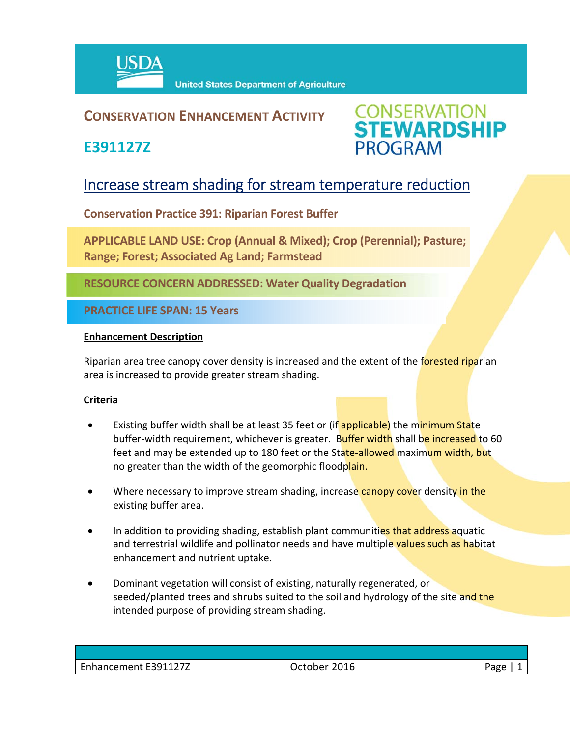

# **CONSERVATION ENHANCEMENT ACTIVITY**

**E391127Z**



# Increase stream shading for stream temperature reduction

**Conservation Practice 391: Riparian Forest Buffer**

**APPLICABLE LAND USE: Crop (Annual & Mixed); Crop (Perennial); Pasture; Range; Forest; Associated Ag Land; Farmstead** 

**RESOURCE CONCERN ADDRESSED: Water Quality Degradation**

**PRACTICE LIFE SPAN: 15 Years**

#### **Enhancement Description**

Riparian area tree canopy cover density is increased and the extent of the forested riparian area is increased to provide greater stream shading.

## **Criteria**

- Existing buffer width shall be at least 35 feet or (if applicable) the minimum State buffer-width requirement, whichever is greater. Buffer width shall be increased to 60 feet and may be extended up to 180 feet or the State-allowed maximum width, but no greater than the width of the geomorphic floodplain.
- Where necessary to improve stream shading, increase canopy cover density in the existing buffer area.
- In addition to providing shading, establish plant communities that address aquatic and terrestrial wildlife and pollinator needs and have multiple values such as habitat enhancement and nutrient uptake.
- Dominant vegetation will consist of existing, naturally regenerated, or seeded/planted trees and shrubs suited to the soil and hydrology of the site and the intended purpose of providing stream shading.

| Enhancement E391127Z | 2016<br>October | Page |
|----------------------|-----------------|------|